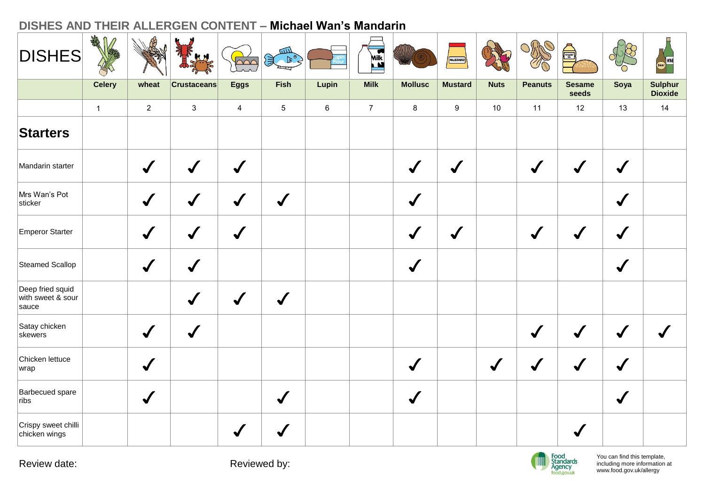| <b>DISHES</b>                                  | AMA           |                | 東山                 | pon            | $rac{1}{2}$     |         | Milk           |                      | MUSTARD        |                      |                | S                      |                      | Beer WNE                         |
|------------------------------------------------|---------------|----------------|--------------------|----------------|-----------------|---------|----------------|----------------------|----------------|----------------------|----------------|------------------------|----------------------|----------------------------------|
|                                                | <b>Celery</b> | wheat          | <b>Crustaceans</b> | <b>Eggs</b>    | Fish            | Lupin   | <b>Milk</b>    | <b>Mollusc</b>       | <b>Mustard</b> | <b>Nuts</b>          | <b>Peanuts</b> | <b>Sesame</b><br>seeds | Soya                 | <b>Sulphur</b><br><b>Dioxide</b> |
|                                                | $\mathbf{1}$  | $\overline{2}$ | $\mathbf{3}$       | $\overline{4}$ | $5\phantom{.0}$ | $\,6\,$ | $\overline{7}$ | 8                    | 9              | 10                   | 11             | 12                     | 13                   | 14                               |
| <b>Starters</b>                                |               |                |                    |                |                 |         |                |                      |                |                      |                |                        |                      |                                  |
| Mandarin starter                               |               | $\checkmark$   | $\checkmark$       | $\checkmark$   |                 |         |                | $\sqrt{\frac{1}{2}}$ | $\checkmark$   |                      | $\sqrt{2}$     | $\checkmark$           | $\checkmark$         |                                  |
| Mrs Wan's Pot<br>sticker                       |               | $\checkmark$   | $\checkmark$       | $\checkmark$   | $\checkmark$    |         |                | $\checkmark$         |                |                      |                |                        | $\checkmark$         |                                  |
| Emperor Starter                                |               | $\checkmark$   | $\checkmark$       | $\checkmark$   |                 |         |                | $\checkmark$         | $\checkmark$   |                      | $\sqrt{2}$     | $\checkmark$           | $\checkmark$         |                                  |
| Steamed Scallop                                |               | $\checkmark$   | $\checkmark$       |                |                 |         |                | $\checkmark$         |                |                      |                |                        | $\sqrt{\frac{1}{2}}$ |                                  |
| Deep fried squid<br>with sweet & sour<br>sauce |               |                | $\checkmark$       | $\checkmark$   | $\checkmark$    |         |                |                      |                |                      |                |                        |                      |                                  |
| Satay chicken<br>skewers                       |               | $\checkmark$   | $\checkmark$       |                |                 |         |                |                      |                |                      | $\sqrt{ }$     | $\checkmark$           | $\sqrt{2}$           |                                  |
| Chicken lettuce<br>wrap                        |               | $\checkmark$   |                    |                |                 |         |                | $\bigvee$            |                | $\sqrt{\frac{1}{2}}$ | $\sqrt{}$      | $\checkmark$           | $\sqrt{\frac{1}{2}}$ |                                  |
| Barbecued spare<br>ribs                        |               | $\checkmark$   |                    |                | $\checkmark$    |         |                | $\sqrt{\frac{1}{2}}$ |                |                      |                |                        | $\sqrt{\frac{1}{2}}$ |                                  |
| Crispy sweet chilli<br>chicken wings           |               |                |                    |                |                 |         |                |                      |                |                      |                | $\checkmark$           |                      |                                  |

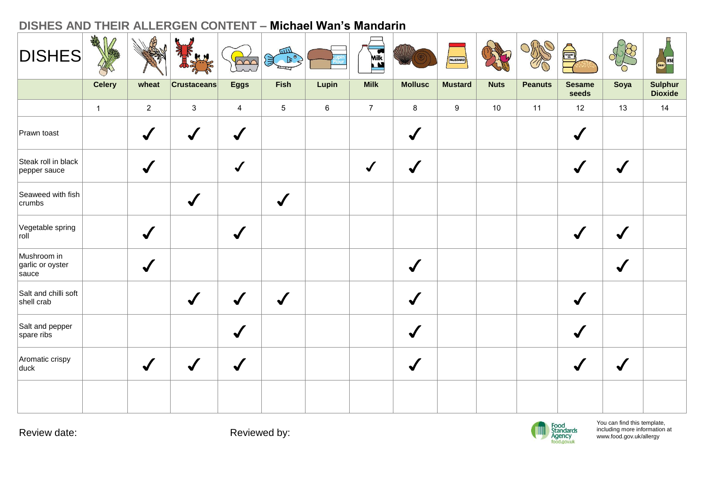| <b>DISHES</b>                            | ARA           |                            | <b>AM</b>          | $\sqrt{200}$         | $\begin{picture}(120,115) \put(0,0){\line(1,0){10}} \put(15,0){\line(1,0){10}} \put(15,0){\line(1,0){10}} \put(15,0){\line(1,0){10}} \put(15,0){\line(1,0){10}} \put(15,0){\line(1,0){10}} \put(15,0){\line(1,0){10}} \put(15,0){\line(1,0){10}} \put(15,0){\line(1,0){10}} \put(15,0){\line(1,0){10}} \put(15,0){\line(1,0){10}} \put(15,0){\line$ |         | Milk           |                | MUSTARD        |             |                | S                      |              | Beer WNE           |
|------------------------------------------|---------------|----------------------------|--------------------|----------------------|-----------------------------------------------------------------------------------------------------------------------------------------------------------------------------------------------------------------------------------------------------------------------------------------------------------------------------------------------------|---------|----------------|----------------|----------------|-------------|----------------|------------------------|--------------|--------------------|
|                                          | <b>Celery</b> | wheat                      | <b>Crustaceans</b> | <b>Eggs</b>          | Fish                                                                                                                                                                                                                                                                                                                                                | Lupin   | <b>Milk</b>    | <b>Mollusc</b> | <b>Mustard</b> | <b>Nuts</b> | <b>Peanuts</b> | <b>Sesame</b><br>seeds | Soya         | Sulphur<br>Dioxide |
|                                          | $\mathbf{1}$  | $\overline{2}$             | $\mathbf{3}$       | $\overline{4}$       | $5\phantom{.0}$                                                                                                                                                                                                                                                                                                                                     | $\,6\,$ | $\overline{7}$ | $\bf{8}$       | 9              | $10$        | 11             | 12                     | 13           | 14                 |
| Prawn toast                              |               | $\blacklozenge$            | $\checkmark$       | $\checkmark$         |                                                                                                                                                                                                                                                                                                                                                     |         |                | $\checkmark$   |                |             |                | $\blacklozenge$        |              |                    |
| Steak roll in black<br>pepper sauce      |               | $\checkmark$               |                    | $\checkmark$         |                                                                                                                                                                                                                                                                                                                                                     |         | $\sqrt{2}$     | $\checkmark$   |                |             |                | $\checkmark$           | $\checkmark$ |                    |
| Seaweed with fish<br>crumbs              |               |                            | $\checkmark$       |                      | $\checkmark$                                                                                                                                                                                                                                                                                                                                        |         |                |                |                |             |                |                        |              |                    |
| Vegetable spring<br>roll                 |               | $\checkmark$               |                    | $\checkmark$         |                                                                                                                                                                                                                                                                                                                                                     |         |                |                |                |             |                |                        |              |                    |
| Mushroom in<br>garlic or oyster<br>sauce |               | $\boldsymbol{\mathcal{N}}$ |                    |                      |                                                                                                                                                                                                                                                                                                                                                     |         |                | $\checkmark$   |                |             |                |                        | $\checkmark$ |                    |
| Salt and chilli soft<br>shell crab       |               |                            | $\checkmark$       | $\blacktriangledown$ | $\checkmark$                                                                                                                                                                                                                                                                                                                                        |         |                | $\checkmark$   |                |             |                | $\checkmark$           |              |                    |
| Salt and pepper<br>spare ribs            |               |                            |                    | $\blacktriangledown$ |                                                                                                                                                                                                                                                                                                                                                     |         |                | $\checkmark$   |                |             |                | $\checkmark$           |              |                    |
| Aromatic crispy<br>duck                  |               | $\checkmark$               | $\checkmark$       | $\bigvee$            |                                                                                                                                                                                                                                                                                                                                                     |         |                | $\checkmark$   |                |             |                | $\blacklozenge$        |              |                    |
|                                          |               |                            |                    |                      |                                                                                                                                                                                                                                                                                                                                                     |         |                |                |                |             |                |                        |              |                    |

Review date:  $\qquad \qquad$  Reviewed by:

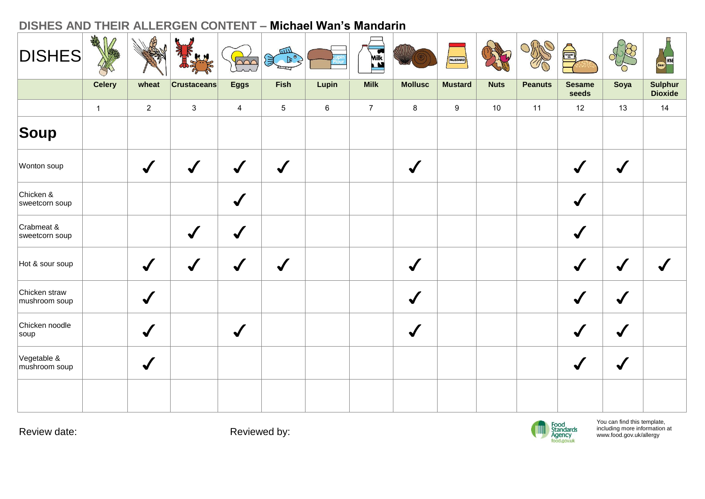| <b>DISHES</b>                  | AMA<br>M      |                | IF HA                | $\overline{\mathbb{R}}$ | $\left(\frac{1}{2}\right)$ |         | Milk           |                | MUSTARD          |             |                | S                      |              | WNE<br><b>Beer</b>               |
|--------------------------------|---------------|----------------|----------------------|-------------------------|----------------------------|---------|----------------|----------------|------------------|-------------|----------------|------------------------|--------------|----------------------------------|
|                                | <b>Celery</b> | wheat          | <b>Crustaceans</b>   | <b>Eggs</b>             | Fish                       | Lupin   | <b>Milk</b>    | <b>Mollusc</b> | <b>Mustard</b>   | <b>Nuts</b> | <b>Peanuts</b> | <b>Sesame</b><br>seeds | Soya         | <b>Sulphur</b><br><b>Dioxide</b> |
|                                | $\mathbf{1}$  | $\overline{2}$ | $\sqrt{3}$           | $\overline{4}$          | $5\phantom{.0}$            | $\,6\,$ | $\overline{7}$ | 8              | $\boldsymbol{9}$ | $10$        | 11             | 12                     | 13           | 14                               |
| Soup                           |               |                |                      |                         |                            |         |                |                |                  |             |                |                        |              |                                  |
| Wonton soup                    |               | $\checkmark$   | $\checkmark$         | $\checkmark$            | $\checkmark$               |         |                | $\checkmark$   |                  |             |                | $\checkmark$           | $\checkmark$ |                                  |
| Chicken &<br>sweetcorn soup    |               |                |                      | $\checkmark$            |                            |         |                |                |                  |             |                | $\checkmark$           |              |                                  |
| Crabmeat &<br>sweetcorn soup   |               |                | $\sqrt{\frac{1}{2}}$ | $\checkmark$            |                            |         |                |                |                  |             |                | $\checkmark$           |              |                                  |
| Hot & sour soup                |               | $\checkmark$   | $\checkmark$         | $\blacktriangledown$    | $\boldsymbol{J}$           |         |                | $\checkmark$   |                  |             |                | $\blacktriangledown$   | $\sqrt{}$    |                                  |
| Chicken straw<br>mushroom soup |               | $\bigvee$      |                      |                         |                            |         |                | $\bigvee$      |                  |             |                | $\checkmark$           | $\checkmark$ |                                  |
| Chicken noodle<br>soup         |               | $\checkmark$   |                      | $\checkmark$            |                            |         |                | $\bigvee$      |                  |             |                | $\blacklozenge$        | $\sqrt{}$    |                                  |
| Vegetable &<br>mushroom soup   |               | $\checkmark$   |                      |                         |                            |         |                |                |                  |             |                |                        |              |                                  |
|                                |               |                |                      |                         |                            |         |                |                |                  |             |                |                        |              |                                  |

Review date:  $\qquad \qquad$  Reviewed by:

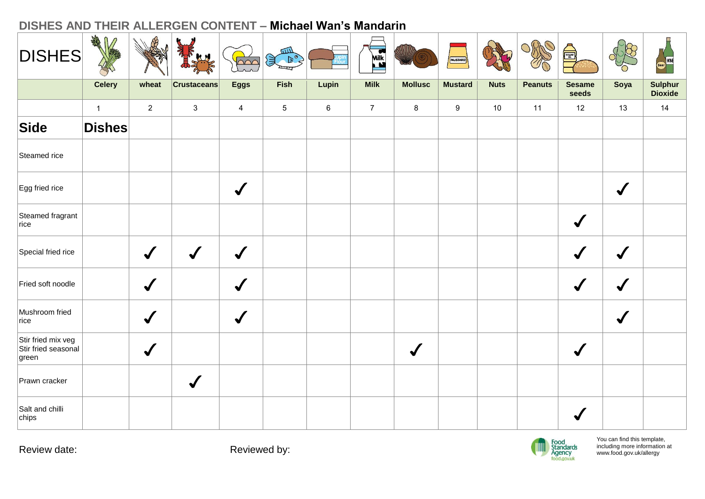| <b>DISHES</b>                                      | AR<br>$\Omega$ |                      | <b>R</b>           | $\sim$               | $\begin{picture}(120,115) \put(0,0){\line(1,0){155}} \put(15,0){\line(1,0){155}} \put(15,0){\line(1,0){155}} \put(15,0){\line(1,0){155}} \put(15,0){\line(1,0){155}} \put(15,0){\line(1,0){155}} \put(15,0){\line(1,0){155}} \put(15,0){\line(1,0){155}} \put(15,0){\line(1,0){155}} \put(15,0){\line(1,0){155}} \put(15,0){\line(1,0){155$ |         | Milk<br><b>Milk</b> |                      | MUSTARD        |             |                | Å                      |                      | WNE                |
|----------------------------------------------------|----------------|----------------------|--------------------|----------------------|---------------------------------------------------------------------------------------------------------------------------------------------------------------------------------------------------------------------------------------------------------------------------------------------------------------------------------------------|---------|---------------------|----------------------|----------------|-------------|----------------|------------------------|----------------------|--------------------|
|                                                    | <b>Celery</b>  | wheat                | <b>Crustaceans</b> | <b>Eggs</b>          | <b>Fish</b>                                                                                                                                                                                                                                                                                                                                 | Lupin   | <b>Milk</b>         | <b>Mollusc</b>       | <b>Mustard</b> | <b>Nuts</b> | <b>Peanuts</b> | <b>Sesame</b><br>seeds | Soya                 | Sulphur<br>Dioxide |
|                                                    | $\mathbf{1}$   | $\overline{2}$       | $\mathbf{3}$       | $\overline{4}$       | $5\phantom{.0}$                                                                                                                                                                                                                                                                                                                             | $\,6\,$ | $\overline{7}$      | 8                    | 9              | 10          | 11             | 12                     | 13                   | $14$               |
| Side                                               | <b>Dishes</b>  |                      |                    |                      |                                                                                                                                                                                                                                                                                                                                             |         |                     |                      |                |             |                |                        |                      |                    |
| Steamed rice                                       |                |                      |                    |                      |                                                                                                                                                                                                                                                                                                                                             |         |                     |                      |                |             |                |                        |                      |                    |
| Egg fried rice                                     |                |                      |                    | $\checkmark$         |                                                                                                                                                                                                                                                                                                                                             |         |                     |                      |                |             |                |                        | $\checkmark$         |                    |
| Steamed fragrant<br>rice                           |                |                      |                    |                      |                                                                                                                                                                                                                                                                                                                                             |         |                     |                      |                |             |                | $\checkmark$           |                      |                    |
| Special fried rice                                 |                | $\checkmark$         |                    | $\blacktriangledown$ |                                                                                                                                                                                                                                                                                                                                             |         |                     |                      |                |             |                |                        |                      |                    |
| Fried soft noodle                                  |                | $\checkmark$         |                    | $\blacktriangledown$ |                                                                                                                                                                                                                                                                                                                                             |         |                     |                      |                |             |                |                        | √                    |                    |
| Mushroom fried<br>rice                             |                | $\blacktriangledown$ |                    | $\checkmark$         |                                                                                                                                                                                                                                                                                                                                             |         |                     |                      |                |             |                |                        | $\blacktriangledown$ |                    |
| Stir fried mix veg<br>Stir fried seasonal<br>green |                | $\checkmark$         |                    |                      |                                                                                                                                                                                                                                                                                                                                             |         |                     | $\sqrt{\frac{1}{2}}$ |                |             |                | $\checkmark$           |                      |                    |
| Prawn cracker                                      |                |                      |                    |                      |                                                                                                                                                                                                                                                                                                                                             |         |                     |                      |                |             |                |                        |                      |                    |
| Salt and chilli<br>chips                           |                |                      |                    |                      |                                                                                                                                                                                                                                                                                                                                             |         |                     |                      |                |             |                |                        |                      |                    |

Review date: The Contract of the Reviewed by:

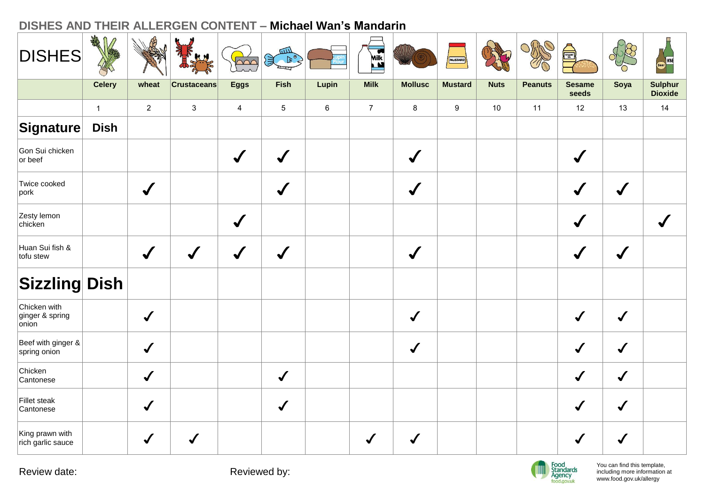| <b>DISHES</b>                                             | AMA           |                      |                    | $\overline{\text{S}}$ | $\begin{picture}(180,10) \put(0,0){\line(1,0){10}} \put(10,0){\line(1,0){10}} \put(10,0){\line(1,0){10}} \put(10,0){\line(1,0){10}} \put(10,0){\line(1,0){10}} \put(10,0){\line(1,0){10}} \put(10,0){\line(1,0){10}} \put(10,0){\line(1,0){10}} \put(10,0){\line(1,0){10}} \put(10,0){\line(1,0){10}} \put(10,0){\line(1,0){10}} \put(10,0){\line($ |         | <b>Milk</b>    |                      | MUSTARD          |             |                | é)                     |                      | Beer WNE                         |
|-----------------------------------------------------------|---------------|----------------------|--------------------|-----------------------|-----------------------------------------------------------------------------------------------------------------------------------------------------------------------------------------------------------------------------------------------------------------------------------------------------------------------------------------------------|---------|----------------|----------------------|------------------|-------------|----------------|------------------------|----------------------|----------------------------------|
|                                                           | <b>Celery</b> | wheat                | <b>Crustaceans</b> | <b>Eggs</b>           | <b>Fish</b>                                                                                                                                                                                                                                                                                                                                         | Lupin   | <b>Milk</b>    | <b>Mollusc</b>       | <b>Mustard</b>   | <b>Nuts</b> | <b>Peanuts</b> | <b>Sesame</b><br>seeds | Soya                 | <b>Sulphur</b><br><b>Dioxide</b> |
|                                                           | $\mathbf{1}$  | $\overline{2}$       | $\mathbf{3}$       | $\overline{4}$        | $5\phantom{.0}$                                                                                                                                                                                                                                                                                                                                     | $\,6\,$ | $\overline{7}$ | $\bf 8$              | $\boldsymbol{9}$ | $10$        | 11             | 12                     | 13                   | 14                               |
| $ \mathsf{S}{\mathsf{i}}\mathsf{g}{\mathsf{n}}$ ature $ $ | <b>Dish</b>   |                      |                    |                       |                                                                                                                                                                                                                                                                                                                                                     |         |                |                      |                  |             |                |                        |                      |                                  |
| Gon Sui chicken<br>or beef                                |               |                      |                    | $\checkmark$          | $\checkmark$                                                                                                                                                                                                                                                                                                                                        |         |                | $\checkmark$         |                  |             |                | $\checkmark$           |                      |                                  |
| Twice cooked<br>$ {\sf port} $                            |               | $\checkmark$         |                    |                       |                                                                                                                                                                                                                                                                                                                                                     |         |                | $\checkmark$         |                  |             |                | $\checkmark$           |                      |                                  |
| Zesty lemon<br>chicken                                    |               |                      |                    | $\checkmark$          |                                                                                                                                                                                                                                                                                                                                                     |         |                |                      |                  |             |                | $\checkmark$           |                      |                                  |
| Huan Sui fish &<br>tofu stew                              |               | $\sqrt{\frac{1}{2}}$ | $\boldsymbol{J}$   | $\sqrt{2}$            | $\checkmark$                                                                                                                                                                                                                                                                                                                                        |         |                | $\sqrt{\frac{1}{2}}$ |                  |             |                | $\boldsymbol{J}$       | $\sqrt{\frac{1}{2}}$ |                                  |
| <b>Sizzling Dish</b>                                      |               |                      |                    |                       |                                                                                                                                                                                                                                                                                                                                                     |         |                |                      |                  |             |                |                        |                      |                                  |
| Chicken with<br>ginger & spring<br>onion                  |               | $\checkmark$         |                    |                       |                                                                                                                                                                                                                                                                                                                                                     |         |                | $\checkmark$         |                  |             |                | $\boldsymbol{J}$       | $\checkmark$         |                                  |
| Beef with ginger &<br>spring onion                        |               | $\checkmark$         |                    |                       |                                                                                                                                                                                                                                                                                                                                                     |         |                | $\checkmark$         |                  |             |                | $\checkmark$           | $\checkmark$         |                                  |
| Chicken<br>Cantonese                                      |               | $\checkmark$         |                    |                       | $\checkmark$                                                                                                                                                                                                                                                                                                                                        |         |                |                      |                  |             |                | $\checkmark$           | $\checkmark$         |                                  |
| Fillet steak<br>Cantonese                                 |               | $\checkmark$         |                    |                       | $\checkmark$                                                                                                                                                                                                                                                                                                                                        |         |                |                      |                  |             |                | $\checkmark$           | $\sqrt{2}$           |                                  |
| King prawn with<br>rich garlic sauce                      |               | $\checkmark$         |                    |                       |                                                                                                                                                                                                                                                                                                                                                     |         |                |                      |                  |             |                |                        | $\checkmark$         |                                  |

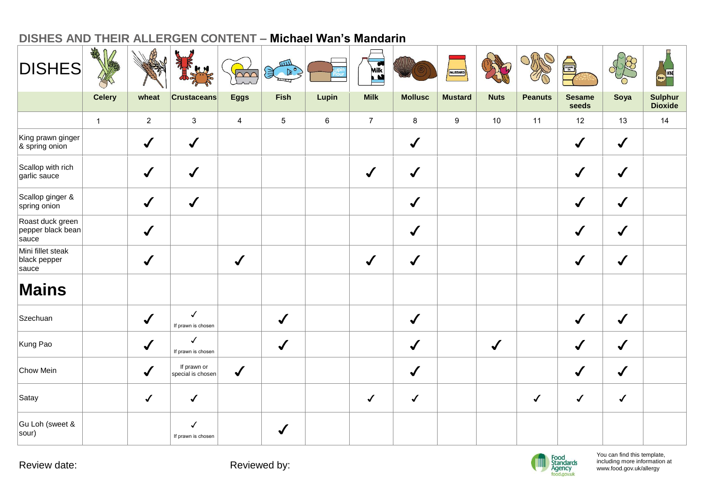| <b>DISHES</b>                                  | ARA<br>$\mathbb{D}$ |                | THE                                | $\sum_{i=1}^{n}$ | 四<br>$\left( \frac{1}{2} \right)$ |         | Milk <sup>3</sup> |                | MUSTARD        |              |                | A                      |              | Beer WINE                        |
|------------------------------------------------|---------------------|----------------|------------------------------------|------------------|-----------------------------------|---------|-------------------|----------------|----------------|--------------|----------------|------------------------|--------------|----------------------------------|
|                                                | <b>Celery</b>       | wheat          | <b>Crustaceans</b>                 | <b>Eggs</b>      | Fish                              | Lupin   | <b>Milk</b>       | <b>Mollusc</b> | <b>Mustard</b> | <b>Nuts</b>  | <b>Peanuts</b> | <b>Sesame</b><br>seeds | Soya         | <b>Sulphur</b><br><b>Dioxide</b> |
|                                                | $\mathbf{1}$        | $\overline{2}$ | $\mathbf{3}$                       | $\overline{4}$   | $\sqrt{5}$                        | $\,6\,$ | $\overline{7}$    | 8              | 9              | 10           | 11             | 12                     | 13           | 14                               |
| King prawn ginger<br>& spring onion            |                     | $\checkmark$   | $\checkmark$                       |                  |                                   |         |                   | $\checkmark$   |                |              |                | $\checkmark$           | $\checkmark$ |                                  |
| Scallop with rich<br>garlic sauce              |                     | $\checkmark$   | $\checkmark$                       |                  |                                   |         | $\checkmark$      | $\checkmark$   |                |              |                | $\checkmark$           | $\checkmark$ |                                  |
| Scallop ginger &<br>spring onion               |                     | $\checkmark$   | $\checkmark$                       |                  |                                   |         |                   | $\checkmark$   |                |              |                | $\checkmark$           | $\checkmark$ |                                  |
| Roast duck green<br>pepper black bean<br>sauce |                     | $\checkmark$   |                                    |                  |                                   |         |                   | $\sqrt{2}$     |                |              |                | $\checkmark$           | $\checkmark$ |                                  |
| Mini fillet steak<br>black pepper<br>sauce     |                     | $\checkmark$   |                                    | $\checkmark$     |                                   |         | $\checkmark$      | $\checkmark$   |                |              |                | $\checkmark$           | $\sqrt{2}$   |                                  |
| <b>Mains</b>                                   |                     |                |                                    |                  |                                   |         |                   |                |                |              |                |                        |              |                                  |
| Szechuan                                       |                     | $\checkmark$   | $\checkmark$<br>If prawn is chosen |                  | $\checkmark$                      |         |                   | $\checkmark$   |                |              |                | $\checkmark$           | $\checkmark$ |                                  |
| Kung Pao                                       |                     | $\checkmark$   | $\checkmark$<br>If prawn is chosen |                  | $\checkmark$                      |         |                   | $\checkmark$   |                | $\checkmark$ |                | $\checkmark$           | $\checkmark$ |                                  |
| Chow Mein                                      |                     | $\checkmark$   | If prawn or<br>special is chosen   | $\checkmark$     |                                   |         |                   | $\checkmark$   |                |              |                | $\checkmark$           | $\checkmark$ |                                  |
| Satay                                          |                     | $\checkmark$   | $\checkmark$                       |                  |                                   |         | $\checkmark$      | $\checkmark$   |                |              | $\checkmark$   | $\checkmark$           | $\checkmark$ |                                  |
| Gu Loh (sweet &<br>sour)                       |                     |                | $\checkmark$<br>If prawn is chosen |                  | $\sqrt{2}$                        |         |                   |                |                |              |                |                        |              |                                  |

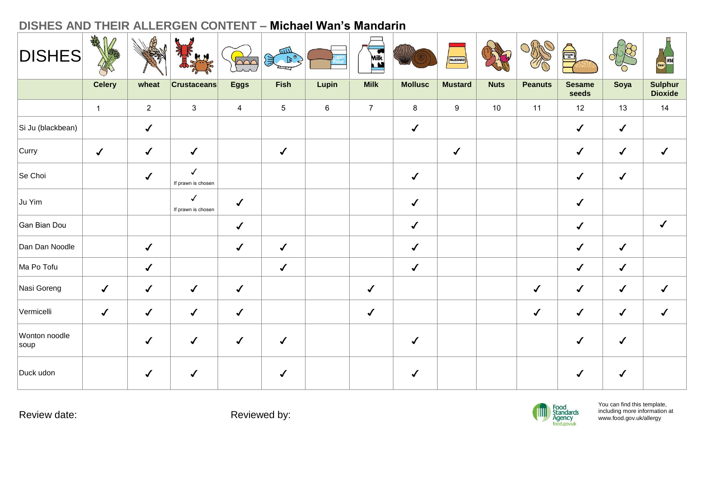| <b>DISHES</b>         | ART           |                | ă<br><b>R</b>                      | $\sim$         | $\mathbb{R}^{\circ}$ |         | Milk           |                | MUSTARD          |             |                | é,                     |              | Beer WINE                        |
|-----------------------|---------------|----------------|------------------------------------|----------------|----------------------|---------|----------------|----------------|------------------|-------------|----------------|------------------------|--------------|----------------------------------|
|                       | <b>Celery</b> | wheat          | <b>Crustaceans</b>                 | <b>Eggs</b>    | Fish                 | Lupin   | <b>Milk</b>    | <b>Mollusc</b> | <b>Mustard</b>   | <b>Nuts</b> | <b>Peanuts</b> | <b>Sesame</b><br>seeds | Soya         | <b>Sulphur</b><br><b>Dioxide</b> |
|                       | $\mathbf{1}$  | $\overline{2}$ | $\mathbf{3}$                       | $\overline{4}$ | $\sqrt{5}$           | $\,6\,$ | $\overline{7}$ | 8              | $\boldsymbol{9}$ | 10          | 11             | 12                     | 13           | 14                               |
| Si Ju (blackbean)     |               | $\checkmark$   |                                    |                |                      |         |                | $\checkmark$   |                  |             |                | $\checkmark$           | $\checkmark$ |                                  |
| Curry                 | $\checkmark$  | $\checkmark$   | $\checkmark$                       |                | $\checkmark$         |         |                |                | $\checkmark$     |             |                | $\checkmark$           | $\checkmark$ | $\checkmark$                     |
| Se Choi               |               | $\checkmark$   | $\checkmark$<br>If prawn is chosen |                |                      |         |                | $\checkmark$   |                  |             |                | $\checkmark$           | $\checkmark$ |                                  |
| Ju Yim                |               |                | $\checkmark$<br>If prawn is chosen | $\checkmark$   |                      |         |                | $\checkmark$   |                  |             |                | $\checkmark$           |              |                                  |
| Gan Bian Dou          |               |                |                                    | $\checkmark$   |                      |         |                | $\checkmark$   |                  |             |                | $\checkmark$           |              | $\checkmark$                     |
| Dan Dan Noodle        |               | $\checkmark$   |                                    | $\checkmark$   | $\checkmark$         |         |                | $\checkmark$   |                  |             |                | $\checkmark$           | $\checkmark$ |                                  |
| Ma Po Tofu            |               | $\checkmark$   |                                    |                | $\checkmark$         |         |                | $\checkmark$   |                  |             |                | $\checkmark$           | $\checkmark$ |                                  |
| Nasi Goreng           | $\checkmark$  | $\checkmark$   | ✔                                  | $\checkmark$   |                      |         | $\checkmark$   |                |                  |             | $\checkmark$   | $\checkmark$           | $\checkmark$ | $\checkmark$                     |
| Vermicelli            | $\checkmark$  | $\checkmark$   | $\checkmark$                       | $\checkmark$   |                      |         | $\checkmark$   |                |                  |             | $\checkmark$   | $\checkmark$           | $\checkmark$ | $\checkmark$                     |
| Wonton noodle<br>soup |               | $\checkmark$   | $\checkmark$                       | $\checkmark$   | $\checkmark$         |         |                | $\checkmark$   |                  |             |                | $\checkmark$           | $\checkmark$ |                                  |
| Duck udon             |               | $\checkmark$   | √                                  |                | ✔                    |         |                | $\checkmark$   |                  |             |                | $\checkmark$           | $\checkmark$ |                                  |

Review date: The Contract of the Reviewed by:

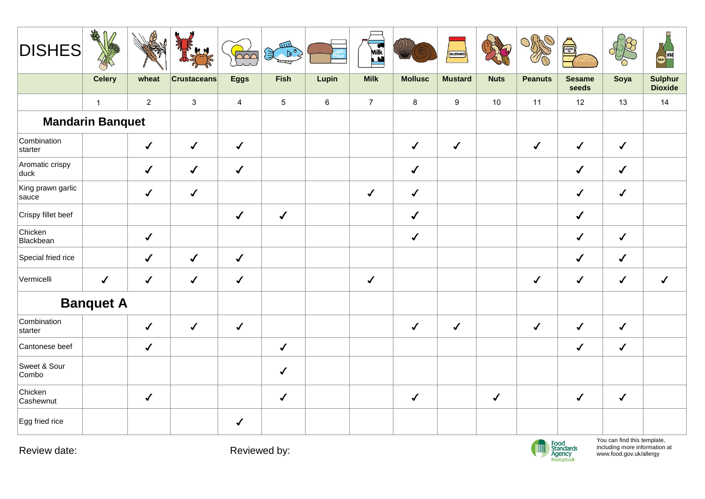| <b>DISHES</b>              | ART<br>$\mathbb{D}$     |                | 最好                 | $\overline{\Omega}$ | $\begin{picture}(120,115) \put(0,0){\line(1,0){10}} \put(15,0){\line(1,0){10}} \put(15,0){\line(1,0){10}} \put(15,0){\line(1,0){10}} \put(15,0){\line(1,0){10}} \put(15,0){\line(1,0){10}} \put(15,0){\line(1,0){10}} \put(15,0){\line(1,0){10}} \put(15,0){\line(1,0){10}} \put(15,0){\line(1,0){10}} \put(15,0){\line(1,0){10}} \put(15,0){\line$ |         | E              |                | MUSTARD          |              |                | SESAME <sub>OR</sub>   |              | Beer WINE                        |
|----------------------------|-------------------------|----------------|--------------------|---------------------|-----------------------------------------------------------------------------------------------------------------------------------------------------------------------------------------------------------------------------------------------------------------------------------------------------------------------------------------------------|---------|----------------|----------------|------------------|--------------|----------------|------------------------|--------------|----------------------------------|
|                            | <b>Celery</b>           | wheat          | <b>Crustaceans</b> | <b>Eggs</b>         | Fish                                                                                                                                                                                                                                                                                                                                                | Lupin   | <b>Milk</b>    | <b>Mollusc</b> | <b>Mustard</b>   | <b>Nuts</b>  | <b>Peanuts</b> | <b>Sesame</b><br>seeds | Soya         | <b>Sulphur</b><br><b>Dioxide</b> |
|                            | $\mathbf{1}$            | $\overline{2}$ | $\mathbf{3}$       | $\overline{4}$      | $\overline{5}$                                                                                                                                                                                                                                                                                                                                      | $\,6\,$ | $\overline{7}$ | $\bf 8$        | $\boldsymbol{9}$ | 10           | 11             | 12                     | 13           | 14                               |
|                            | <b>Mandarin Banquet</b> |                |                    |                     |                                                                                                                                                                                                                                                                                                                                                     |         |                |                |                  |              |                |                        |              |                                  |
| Combination<br>starter     |                         | $\checkmark$   | $\sqrt{ }$         | $\checkmark$        |                                                                                                                                                                                                                                                                                                                                                     |         |                | $\checkmark$   | $\checkmark$     |              | $\sqrt{2}$     | $\checkmark$           | $\checkmark$ |                                  |
| Aromatic crispy<br>duck    |                         | $\checkmark$   | $\checkmark$       | $\checkmark$        |                                                                                                                                                                                                                                                                                                                                                     |         |                | $\checkmark$   |                  |              |                | $\sqrt{2}$             | $\sqrt{2}$   |                                  |
| King prawn garlic<br>sauce |                         | $\checkmark$   | $\checkmark$       |                     |                                                                                                                                                                                                                                                                                                                                                     |         | $\checkmark$   | $\checkmark$   |                  |              |                | $\checkmark$           | $\checkmark$ |                                  |
| Crispy fillet beef         |                         |                |                    | $\checkmark$        | $\checkmark$                                                                                                                                                                                                                                                                                                                                        |         |                | $\checkmark$   |                  |              |                | $\checkmark$           |              |                                  |
| Chicken<br>Blackbean       |                         | $\checkmark$   |                    |                     |                                                                                                                                                                                                                                                                                                                                                     |         |                | $\checkmark$   |                  |              |                | $\checkmark$           | $\checkmark$ |                                  |
| Special fried rice         |                         | $\checkmark$   | $\checkmark$       | $\checkmark$        |                                                                                                                                                                                                                                                                                                                                                     |         |                |                |                  |              |                | $\checkmark$           | $\checkmark$ |                                  |
| Vermicelli                 | $\sqrt{2}$              | $\checkmark$   | $\checkmark$       | $\checkmark$        |                                                                                                                                                                                                                                                                                                                                                     |         | $\checkmark$   |                |                  |              | $\checkmark$   | $\checkmark$           | $\checkmark$ | $\checkmark$                     |
|                            | <b>Banquet A</b>        |                |                    |                     |                                                                                                                                                                                                                                                                                                                                                     |         |                |                |                  |              |                |                        |              |                                  |
| Combination<br>starter     |                         | $\checkmark$   | $\checkmark$       | $\checkmark$        |                                                                                                                                                                                                                                                                                                                                                     |         |                | $\checkmark$   | $\checkmark$     |              | $\checkmark$   | $\checkmark$           | $\checkmark$ |                                  |
| Cantonese beef             |                         | $\sqrt{2}$     |                    |                     | $\checkmark$                                                                                                                                                                                                                                                                                                                                        |         |                |                |                  |              |                | $\checkmark$           | $\checkmark$ |                                  |
| Sweet & Sour<br>Combo      |                         |                |                    |                     | $\checkmark$                                                                                                                                                                                                                                                                                                                                        |         |                |                |                  |              |                |                        |              |                                  |
| Chicken<br>Cashewnut       |                         | $\checkmark$   |                    |                     | $\checkmark$                                                                                                                                                                                                                                                                                                                                        |         |                | $\checkmark$   |                  | $\checkmark$ |                | $\sqrt{2}$             | $\checkmark$ |                                  |
| Egg fried rice             |                         |                |                    | $\checkmark$        |                                                                                                                                                                                                                                                                                                                                                     |         |                |                |                  |              |                |                        |              |                                  |

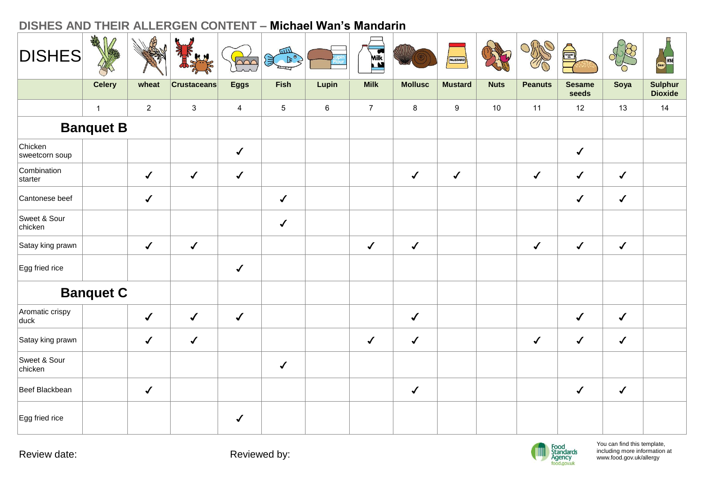| <b>DISHES</b>             | ART              |                | REAL PROPERTY.     | $\overline{\Omega}$ | Sean Ro         |         | <b>Kilk</b>    |                | MUSTARD          |             |                | S                      |              | (Beer WINE                       |
|---------------------------|------------------|----------------|--------------------|---------------------|-----------------|---------|----------------|----------------|------------------|-------------|----------------|------------------------|--------------|----------------------------------|
|                           | <b>Celery</b>    | wheat          | <b>Crustaceans</b> | <b>Eggs</b>         | Fish            | Lupin   | <b>Milk</b>    | <b>Mollusc</b> | <b>Mustard</b>   | <b>Nuts</b> | <b>Peanuts</b> | <b>Sesame</b><br>seeds | Soya         | <b>Sulphur</b><br><b>Dioxide</b> |
|                           | $\mathbf{1}$     | $\overline{2}$ | $\mathbf{3}$       | $\overline{4}$      | $5\phantom{.0}$ | $\,6\,$ | $\overline{7}$ | $\bf 8$        | $\boldsymbol{9}$ | 10          | 11             | 12                     | 13           | 14                               |
|                           | <b>Banquet B</b> |                |                    |                     |                 |         |                |                |                  |             |                |                        |              |                                  |
| Chicken<br>sweetcorn soup |                  |                |                    | $\checkmark$        |                 |         |                |                |                  |             |                | $\checkmark$           |              |                                  |
| Combination<br>starter    |                  | $\checkmark$   | $\checkmark$       | $\checkmark$        |                 |         |                | $\checkmark$   | $\checkmark$     |             | $\checkmark$   | $\checkmark$           | $\checkmark$ |                                  |
| Cantonese beef            |                  | $\checkmark$   |                    |                     | $\checkmark$    |         |                |                |                  |             |                | $\checkmark$           | $\checkmark$ |                                  |
| Sweet & Sour<br>chicken   |                  |                |                    |                     | $\checkmark$    |         |                |                |                  |             |                |                        |              |                                  |
| Satay king prawn          |                  | $\checkmark$   | $\checkmark$       |                     |                 |         | $\checkmark$   | $\checkmark$   |                  |             | $\checkmark$   | $\checkmark$           | $\checkmark$ |                                  |
| Egg fried rice            |                  |                |                    | $\checkmark$        |                 |         |                |                |                  |             |                |                        |              |                                  |
|                           | <b>Banquet C</b> |                |                    |                     |                 |         |                |                |                  |             |                |                        |              |                                  |
| Aromatic crispy<br>duck   |                  | $\checkmark$   | $\checkmark$       | $\checkmark$        |                 |         |                | $\checkmark$   |                  |             |                | $\checkmark$           | $\checkmark$ |                                  |
| Satay king prawn          |                  | $\checkmark$   | $\checkmark$       |                     |                 |         | $\checkmark$   | $\checkmark$   |                  |             | $\checkmark$   | $\checkmark$           | $\checkmark$ |                                  |
| Sweet & Sour<br>chicken   |                  |                |                    |                     | $\checkmark$    |         |                |                |                  |             |                |                        |              |                                  |
| Beef Blackbean            |                  | $\checkmark$   |                    |                     |                 |         |                | $\checkmark$   |                  |             |                | $\checkmark$           | $\checkmark$ |                                  |
| Egg fried rice            |                  |                |                    | $\sqrt{2}$          |                 |         |                |                |                  |             |                |                        |              |                                  |